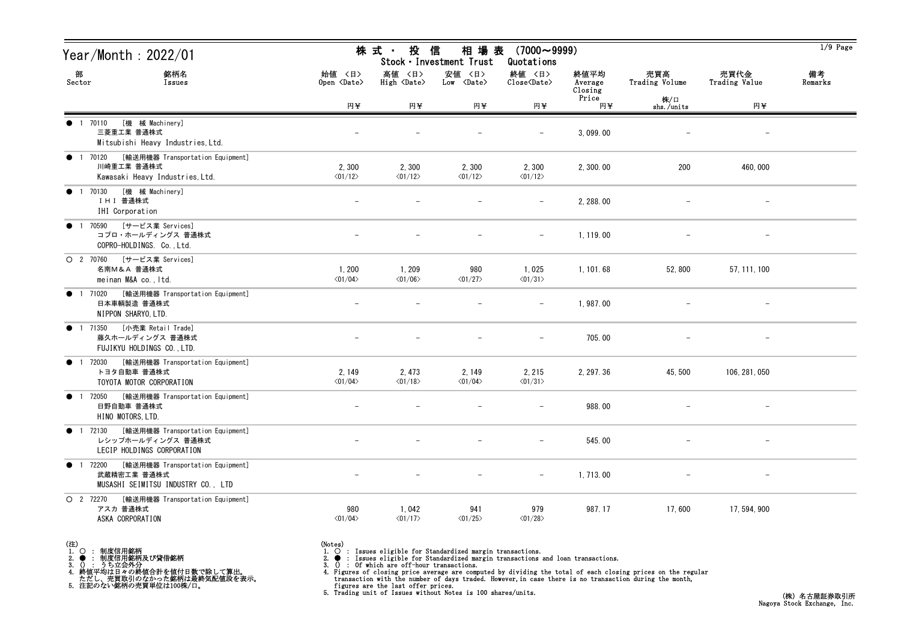| Year/Month : 2022/01                                                                               |                                   | 株式 投信                                   | 相 場 表<br>Stock · Investment Trust    | $(7000 \sim 9999)$<br>Quotations                   |                            |                       |                          | $1/9$ Page    |
|----------------------------------------------------------------------------------------------------|-----------------------------------|-----------------------------------------|--------------------------------------|----------------------------------------------------|----------------------------|-----------------------|--------------------------|---------------|
| 部<br>銘柄名<br>Sector<br>Issues                                                                       | 始値 〈日〉<br>Open <date></date>      | 高値 〈日〉<br>High $\langle$ Date $\rangle$ | 安値 〈日〉<br>$Low \langle Date \rangle$ | 終値 〈日〉<br>$\text{Close}\langle \text{Date}\rangle$ | 終値平均<br>Average<br>Closing | 売買高<br>Trading Volume | 売買代金<br>Trading Value    | 備考<br>Remarks |
|                                                                                                    | 円半                                | 円半                                      | 円半                                   | 円半                                                 | Price<br>円半                | 株/口<br>shs./units     | 円半                       |               |
| [機 械 Machinery]<br>● 1 70110<br>三菱重工業 普通株式<br>Mitsubishi Heavy Industries, Ltd.                    |                                   |                                         |                                      |                                                    | 3,099.00                   |                       |                          |               |
| ● 1 70120 [輸送用機器 Transportation Equipment]<br>川崎重工業 普通株式<br>Kawasaki Heavy Industries, Ltd.        | 2,300<br>$\langle 01/12 \rangle$  | 2,300<br>$\langle 01/12 \rangle$        | 2,300<br>$\langle 01/12 \rangle$     | 2,300<br>$\langle 01/12 \rangle$                   | 2, 300.00                  | 200                   | 460,000                  |               |
| [機 械 Machinery]<br>1 70130<br>$\bullet$<br>IHI 普通株式<br>IHI Corporation                             |                                   |                                         |                                      |                                                    | 2, 288.00                  |                       | $\overline{\phantom{m}}$ |               |
| ● 1 70590 [サービス業 Services]<br>コプロ・ホールディングス 普通株式<br>COPRO-HOLDINGS. Co., Ltd.                       |                                   |                                         |                                      | $\overline{\phantom{m}}$                           | 1, 119.00                  |                       |                          |               |
| O 2 70760 [サービス業 Services]<br>名南M&A 普通株式<br>meinan M&A co., Itd.                                   | 1,200<br>$\langle 01/04 \rangle$  | 1, 209<br>$\langle 01/06 \rangle$       | 980<br>$\langle 01/27 \rangle$       | 1,025<br>$\langle 01/31 \rangle$                   | 1, 101.68                  | 52,800                | 57, 111, 100             |               |
| ● 1 71020 [輸送用機器 Transportation Equipment]<br>日本車輌製造 普通株式<br>NIPPON SHARYO, LTD.                   |                                   |                                         |                                      | $-$                                                | 1,987.00                   |                       | $\overline{\phantom{a}}$ |               |
| 1 71350 [小売業 Retail Trade]<br>$\bullet$<br>藤久ホールディングス 普通株式<br>FUJIKYU HOLDINGS CO., LTD.           |                                   |                                         |                                      | $\overline{\phantom{m}}$                           | 705.00                     |                       | $\overline{\phantom{0}}$ |               |
| [輸送用機器 Transportation Equipment]<br><b>1</b> 72030<br>トヨタ自動車 普通株式<br>TOYOTA MOTOR CORPORATION      | 2, 149<br>$\langle 01/04 \rangle$ | 2, 473<br>$\langle 01/18 \rangle$       | 2, 149<br>$\langle 01/04 \rangle$    | 2, 215<br>$\langle 01/31 \rangle$                  | 2, 297.36                  | 45, 500               | 106, 281, 050            |               |
| [輸送用機器 Transportation Equipment]<br>● 1 72050<br>日野自動車 普通株式<br>HINO MOTORS, LTD.                   |                                   |                                         |                                      |                                                    | 988.00                     |                       | $\overline{\phantom{m}}$ |               |
| ● 1 72130 [輸送用機器 Transportation Equipment]<br>レシップホールディングス 普通株式<br>LECIP HOLDINGS CORPORATION      |                                   |                                         |                                      | $\overline{\phantom{m}}$                           | 545.00                     |                       | $\qquad \qquad -$        |               |
| [輸送用機器 Transportation Equipment]<br>● 1 72200<br>武蔵精密工業 普通株式<br>MUSASHI SEIMITSU INDUSTRY CO., LTD |                                   |                                         |                                      |                                                    | 1, 713.00                  |                       |                          |               |
| O 2 72270<br>[輸送用機器 Transportation Equipment]<br>アスカ 普通株式<br>ASKA CORPORATION                      | 980<br>$\langle 01/04 \rangle$    | 1,042<br>$\langle 01/17 \rangle$        | 941<br>$\langle 01/25 \rangle$       | 979<br>$\langle 01/28 \rangle$                     | 987.17                     | 17,600                | 17, 594, 900             |               |

(注)<br>1. ○<br>2. ●<br>3. ① 1. ○ : 制度信用銘柄

2. ● : 制度信用銘柄及び貸借銘柄<br>3. () : うち立会外分<br>4. 終値平均は日々の終値合計を値付日数で除して算出。<br>ただし、売買取引のなかった銘柄は最終気配値段を表示。<br>5. 注記のない銘柄の売買単位は100株/口。

(Notes)<br>1. ○ : Issues eligible for Standardized margin transactions.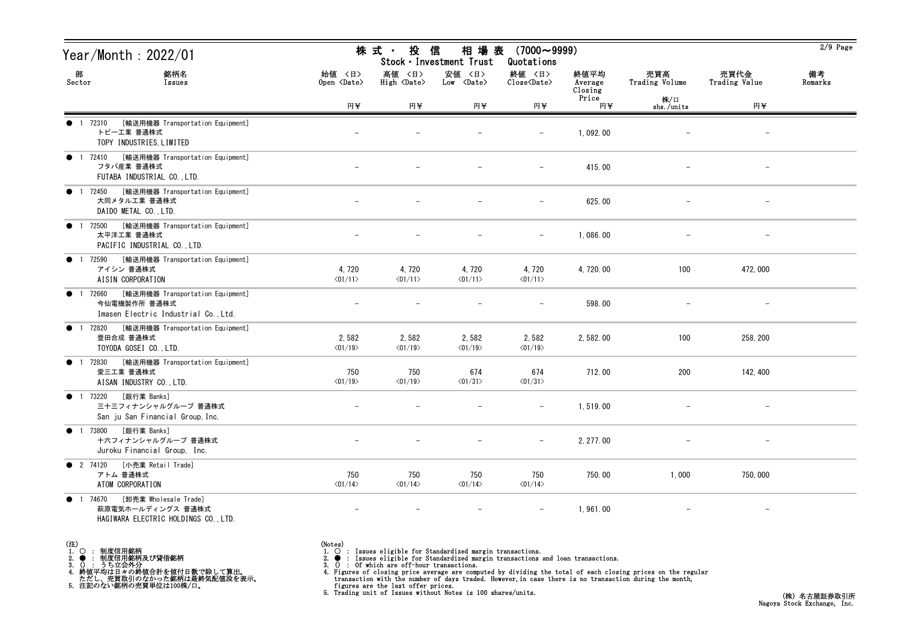| Year/Month : 2022/01                                                                                       |                                  | 株 式 ・<br>投<br>相 場 表<br>$(7000 \sim 9999)$<br>信<br>Stock · Investment Trust<br>Quotations |                                  |                                  |                            |                       |                          |               |  |
|------------------------------------------------------------------------------------------------------------|----------------------------------|------------------------------------------------------------------------------------------|----------------------------------|----------------------------------|----------------------------|-----------------------|--------------------------|---------------|--|
| 部<br>銘柄名<br>Sector<br>Issues                                                                               | 始值 〈日〉<br>Open <date></date>     | 高値 〈日〉<br>High <date></date>                                                             | 安値 〈日〉<br>Low <date></date>      | 終値 〈日〉<br>Close <date></date>    | 終値平均<br>Average<br>Closing | 売買高<br>Trading Volume | 売買代金<br>Trading Value    | 備考<br>Remarks |  |
|                                                                                                            | 円半                               | 円半                                                                                       | 円半                               | 円半                               | Price<br>円半                | 株/口<br>shs./units     | 円半                       |               |  |
| [輸送用機器 Transportation Equipment]<br>1 72310<br>$\bullet$<br>トピーエ業 普通株式<br>TOPY INDUSTRIES, LIMITED         |                                  |                                                                                          |                                  |                                  | 1,092.00                   |                       |                          |               |  |
| 1 72410 [輸送用機器 Transportation Equipment]<br>$\bullet$<br>フタバ産業 普通株式<br>FUTABA INDUSTRIAL CO., LTD.         |                                  |                                                                                          |                                  | $\qquad \qquad -$                | 415.00                     |                       | $\overline{\phantom{m}}$ |               |  |
| [輸送用機器 Transportation Equipment]<br>1 72450<br>$\bullet$<br>大同メタル工業 普通株式<br>DAIDO METAL CO., LTD.          |                                  |                                                                                          |                                  |                                  | 625.00                     |                       |                          |               |  |
| [輸送用機器 Transportation Equipment]<br>72500<br>$\bullet$<br>太平洋工業 普通株式<br>PACIFIC INDUSTRIAL CO., LTD.       |                                  |                                                                                          |                                  | $\overline{\phantom{m}}$         | 1,086.00                   |                       |                          |               |  |
| [輸送用機器 Transportation Equipment]<br>72590<br>$\bullet$<br>アイシン 普通株式<br>AISIN CORPORATION                   | 4,720<br>$\langle 01/11 \rangle$ | 4,720<br>$\langle 01/11 \rangle$                                                         | 4,720<br>$\langle 01/11 \rangle$ | 4,720<br>$\langle 01/11 \rangle$ | 4, 720.00                  | 100                   | 472,000                  |               |  |
| 72660 [輸送用機器 Transportation Equipment]<br>今仙電機製作所 普通株式<br>Imasen Electric Industrial Co., Ltd.             |                                  |                                                                                          |                                  |                                  | 598.00                     |                       |                          |               |  |
| ● 1 72820<br>[輸送用機器 Transportation Equipment]<br>豊田合成 普通株式<br>TOYODA GOSEI CO., LTD.                       | 2,582<br>$\langle 01/19 \rangle$ | 2,582<br>$\langle 01/19 \rangle$                                                         | 2,582<br>$\langle 01/19 \rangle$ | 2,582<br>$\langle 01/19 \rangle$ | 2, 582.00                  | 100                   | 258, 200                 |               |  |
| [輸送用機器 Transportation Equipment]<br>● 1 72830<br>愛三工業 普通株式<br>AISAN INDUSTRY CO., LTD.                     | 750<br>$\langle 01/19 \rangle$   | 750<br>$\langle 01/19 \rangle$                                                           | 674<br>$\langle 01/31 \rangle$   | 674<br>$\langle 01/31 \rangle$   | 712.00                     | 200                   | 142, 400                 |               |  |
| [銀行業 Banks]<br>● 1 73220<br>三十三フィナンシャルグループ 普通株式<br>San ju San Financial Group, Inc.                        |                                  |                                                                                          |                                  | $\overline{\phantom{m}}$         | 1,519.00                   |                       | $\overline{\phantom{m}}$ |               |  |
| ● 1 73800 [銀行業 Banks]<br>十六フィナンシャルグループ 普通株式<br>Juroku Financial Group, Inc.                                |                                  |                                                                                          |                                  | $-$                              | 2, 277.00                  |                       |                          |               |  |
| [小売業 Retail Trade]<br><b>2</b> 74120<br>アトム 普通株式<br>ATOM CORPORATION                                       | 750<br>$\langle 01/14 \rangle$   | 750<br>$\langle 01/14 \rangle$                                                           | 750<br>$\langle 01/14 \rangle$   | 750<br>$\langle 01/14 \rangle$   | 750.00                     | 1,000                 | 750,000                  |               |  |
| [卸売業 Wholesale Trade]<br>1 74670<br>$\bullet$<br>萩原電気ホールディングス 普通株式<br>HAGIWARA ELECTRIC HOLDINGS CO., LTD. | $\overline{\phantom{m}}$         | $\overline{\phantom{m}}$                                                                 | $\overline{\phantom{m}}$         |                                  | 1,961.00                   |                       | $-$                      |               |  |

- (注)<br>1. ○<br>2. ●<br>3. ① 1. ○ : 制度信用銘柄
- 
- 

2. ● : 制度信用銘柄及び貸借銘柄<br>3. () : うち立会外分<br>4. 終値平均は日々の終値合計を値付日数で除して算出。<br>ただし、売買取引のなかった銘柄は最終気配値段を表示。<br>5. 注記のない銘柄の売買単位は100株/口。

- 
- (Notes)<br>1. : Issues eligible for Standardized margin transactions.
-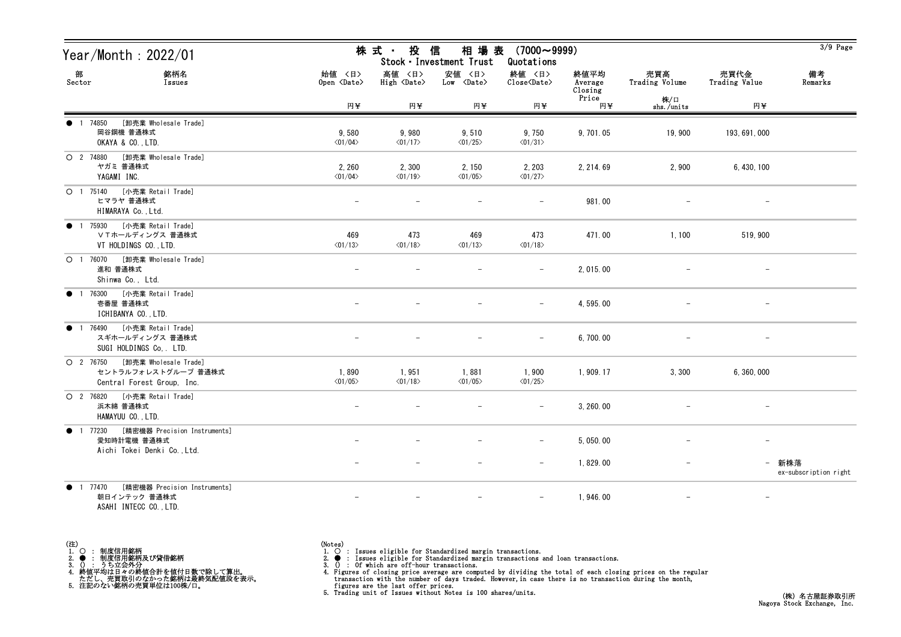| Year/Month: 2022/01                                                                  |                                   | 相 場 表<br>株式 ・ 投 信<br>$(7000 \sim 9999)$<br>Stock · Investment Trust<br>Quotations |                                   |                                   |                            |                       |                          |                                |  |
|--------------------------------------------------------------------------------------|-----------------------------------|-----------------------------------------------------------------------------------|-----------------------------------|-----------------------------------|----------------------------|-----------------------|--------------------------|--------------------------------|--|
| 部<br>銘柄名<br>Sector<br>Issues                                                         | 始値 〈日〉<br>Open <date></date>      | 高値 〈日〉<br>High <date></date>                                                      | 安値 <日><br>Low <date></date>       | 終値 〈日〉<br>Close <date></date>     | 終値平均<br>Average<br>Closing | 売買高<br>Trading Volume | 売買代金<br>Trading Value    | 備考<br>Remarks                  |  |
|                                                                                      | 円半                                | 円半                                                                                | 円¥                                | 円半                                | Price<br>円¥                | 株/口<br>shs./units     | 円半                       |                                |  |
| [卸売業 Wholesale Trade]<br>1 74850<br>岡谷鋼機 普通株式<br>OKAYA & CO., LTD.                   | 9,580<br>$\langle 01/04 \rangle$  | 9,980<br>$\langle 01/17 \rangle$                                                  | 9,510<br>$\langle 01/25 \rangle$  | 9,750<br>$\langle 01/31 \rangle$  | 9, 701.05                  | 19,900                | 193, 691, 000            |                                |  |
| O 2 74880 [卸売業 Wholesale Trade]<br>ヤガミ 普通株式<br>YAGAMI INC.                           | 2, 260<br>$\langle 01/04 \rangle$ | 2,300<br>$\langle 01/19 \rangle$                                                  | 2, 150<br>$\langle 01/05 \rangle$ | 2, 203<br>$\langle 01/27 \rangle$ | 2, 214.69                  | 2,900                 | 6, 430, 100              |                                |  |
| ○ 1 75140 [小売業 Retail Trade]<br>ヒマラヤ 普通株式<br>HIMARAYA Co., Ltd.                      |                                   |                                                                                   |                                   |                                   | 981.00                     |                       |                          |                                |  |
| ● 1 75930 [小売業 Retail Trade]<br>ⅤTホールディングス 普通株式<br>VT HOLDINGS CO., LTD.             | 469<br>$\langle 01/13 \rangle$    | 473<br>$\langle 01/18 \rangle$                                                    | 469<br>$\langle 01/13 \rangle$    | 473<br>$\langle 01/18 \rangle$    | 471.00                     | 1,100                 | 519, 900                 |                                |  |
| O 1 76070 [卸売業 Wholesale Trade]<br>進和 普通株式<br>Shinwa Co., Ltd.                       |                                   |                                                                                   |                                   |                                   | 2, 015.00                  |                       | $\overline{\phantom{a}}$ |                                |  |
| 1 76300 [小売業 Retail Trade]<br>$\bullet$<br>壱番屋 普通株式<br>ICHIBANYA CO., LTD.           |                                   |                                                                                   |                                   | $\overline{\phantom{m}}$          | 4, 595.00                  |                       | $\overline{\phantom{m}}$ |                                |  |
| ● 1 76490 [小売業 Retail Trade]<br>スギホールディングス 普通株式<br>SUGI HOLDINGS Co. LTD.            |                                   |                                                                                   |                                   | -                                 | 6, 700.00                  |                       |                          |                                |  |
| O 2 76750 [卸売業 Wholesale Trade]<br>セントラルフォレストグループ 普通株式<br>Central Forest Group, Inc. | 1,890<br>$\langle 01/05 \rangle$  | 1,951<br>$\langle 01/18 \rangle$                                                  | 1,881<br>$\langle 01/05 \rangle$  | 1,900<br>$\langle 01/25 \rangle$  | 1,909.17                   | 3,300                 | 6, 360, 000              |                                |  |
| 〇 2 76820 [小売業 Retail Trade]<br>浜木綿 普通株式<br>HAMAYUU CO., LTD.                        |                                   |                                                                                   |                                   | $\overline{\phantom{m}}$          | 3, 260.00                  |                       |                          |                                |  |
| ● 1 77230 [精密機器 Precision Instruments]<br>愛知時計電機 普通株式<br>Aichi Tokei Denki Co., Ltd. |                                   |                                                                                   |                                   |                                   | 5, 050.00                  |                       |                          |                                |  |
|                                                                                      |                                   |                                                                                   |                                   | $\qquad \qquad -$                 | 1,829.00                   |                       |                          | - 新株落<br>ex-subscription right |  |
| 1 77470<br>[精密機器 Precision Instruments]<br>$\bullet$<br>朝日インテック 普通株式                 |                                   |                                                                                   |                                   |                                   | 1, 946.00                  |                       | $\overline{\phantom{m}}$ |                                |  |

ASAHI INTECC CO.,LTD.

| 〈注, |                            |
|-----|----------------------------|
|     | 制度信用銘柄                     |
|     | 制度信用銘柄及び貸借銘柄               |
| 3.  | うち立会外分                     |
|     | 終値平均は日々の終値合計を値付日数で除して算出。   |
|     | ただし、売買取引のなかった銘柄は最終気配値段を表示。 |
|     | 注記のない銘柄の売買単位は100株/口。       |

(Notes)<br>1. ○ : Issues eligible for Standardized margin transactions.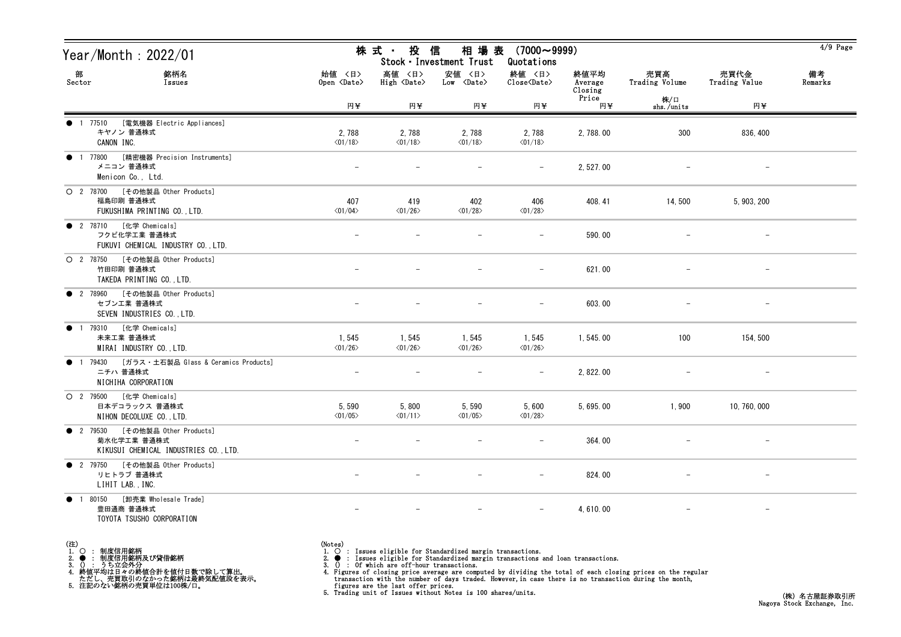| Year/Month : 2022/01                                                                      |                                   | 株式 投信<br>相 場 表<br>$(7000 \sim 9999)$<br>Stock · Investment Trust<br>Quotations |                                      |                                   |                        |                          |                          |               |  |
|-------------------------------------------------------------------------------------------|-----------------------------------|--------------------------------------------------------------------------------|--------------------------------------|-----------------------------------|------------------------|--------------------------|--------------------------|---------------|--|
| 部<br>銘柄名<br>Sector<br>Issues                                                              | 始値 〈日〉<br>Open <date></date>      | 高値 〈日〉<br>$High \langle Date \rangle$                                          | 安値 〈日〉<br>$Low \langle Date \rangle$ | 終値 〈日〉<br>Close <date></date>     | 終値平均<br>Average        | 売買高<br>Trading Volume    | 売買代金<br>Trading Value    | 備考<br>Remarks |  |
|                                                                                           | 円半                                | 円半                                                                             | 円半                                   | 円半                                | Closing<br>Price<br>円半 | 株/口<br>shs./units        | 円半                       |               |  |
| [電気機器 Electric Appliances]<br><b>1</b> 77510<br>キヤノン 普通株式<br>CANON INC.                   | 2,788<br>$\langle 01/18 \rangle$  | 2,788<br>$\langle 01/18 \rangle$                                               | 2,788<br>$\langle 01/18 \rangle$     | 2,788<br>$\langle 01/18 \rangle$  | 2,788.00               | 300                      | 836, 400                 |               |  |
| [精密機器 Precision Instruments]<br>● 1 77800<br>メニコン 普通株式<br>Menicon Co., Ltd.               |                                   |                                                                                |                                      | $-$                               | 2, 527.00              |                          |                          |               |  |
| O 2 78700 [その他製品 Other Products]<br>福島印刷 普通株式<br>FUKUSHIMA PRINTING CO., LTD.             | 407<br>$\langle 01/04 \rangle$    | 419<br>$\langle 01/26 \rangle$                                                 | 402<br>$\langle 01/28 \rangle$       | 406<br>$\langle 01/28 \rangle$    | 408.41                 | 14,500                   | 5, 903, 200              |               |  |
| ● 2 78710 [化学 Chemicals]<br>フクビ化学工業 普通株式<br>FUKUVI CHEMICAL INDUSTRY CO., LTD.            |                                   |                                                                                |                                      | $\overline{\phantom{0}}$          | 590.00                 |                          |                          |               |  |
| O 2 78750 [その他製品 Other Products]<br>竹田印刷 普通株式<br>TAKEDA PRINTING CO., LTD.                |                                   |                                                                                |                                      | $\qquad \qquad -$                 | 621.00                 |                          |                          |               |  |
| ● 2 78960 [その他製品 Other Products]<br>セブンエ業 普通株式<br>SEVEN INDUSTRIES CO., LTD.              |                                   |                                                                                |                                      | $-$                               | 603.00                 | $\overline{\phantom{m}}$ | $\qquad \qquad -$        |               |  |
| ● 1 79310 [化学 Chemicals]<br>未来工業 普通株式<br>MIRAI INDUSTRY CO., LTD.                         | 1, 545<br>$\langle 01/26 \rangle$ | 1,545<br>$\langle 01/26 \rangle$                                               | 1,545<br>$\langle 01/26 \rangle$     | 1, 545<br>$\langle 01/26 \rangle$ | 1,545.00               | 100                      | 154, 500                 |               |  |
| <b>1</b> 79430<br>[ガラス・土石製品 Glass & Ceramics Products]<br>ニチハ 普通株式<br>NICHIHA CORPORATION | $\qquad \qquad -$                 |                                                                                |                                      | $-$                               | 2, 822.00              |                          | $\overline{\phantom{0}}$ |               |  |
| O 2 79500 [化学 Chemicals]<br>日本デコラックス 普通株式<br>NIHON DECOLUXE CO., LTD.                     | 5,590<br>$\langle 01/05 \rangle$  | 5,800<br>$\langle 01/11 \rangle$                                               | 5,590<br>$\langle 01/05 \rangle$     | 5,600<br>$\langle 01/28 \rangle$  | 5, 695.00              | 1,900                    | 10, 760, 000             |               |  |
| ● 2 79530 [その他製品 Other Products]<br>菊水化学工業 普通株式<br>KIKUSUI CHEMICAL INDUSTRIES CO., LTD.  |                                   |                                                                                |                                      | $-$                               | 364.00                 |                          |                          |               |  |
| ● 2 79750 [その他製品 Other Products]<br>リヒトラブ 普通株式<br>LIHIT LAB., INC.                        |                                   |                                                                                |                                      |                                   | 824.00                 |                          |                          |               |  |
| ● 1 80150 [卸売業 Wholesale Trade]<br>豊田通商 普通株式<br>TOYOTA TSUSHO CORPORATION                 |                                   |                                                                                |                                      |                                   | 4, 610.00              |                          | $\qquad \qquad -$        |               |  |

(注) 1. ○ : 制度信用銘柄

2. ● : 制度信用銘柄及び貸借銘柄<br>3. () : うち立会外分<br>4. 終値平均は日々の終値合計を値付日数で除して算出。<br>ただし、売買取引のなかった銘柄は最終気配値段を表示。<br>5. 注記のない銘柄の売買単位は100株/口。

(Notes)<br>1. ○ : Issues eligible for Standardized margin transactions.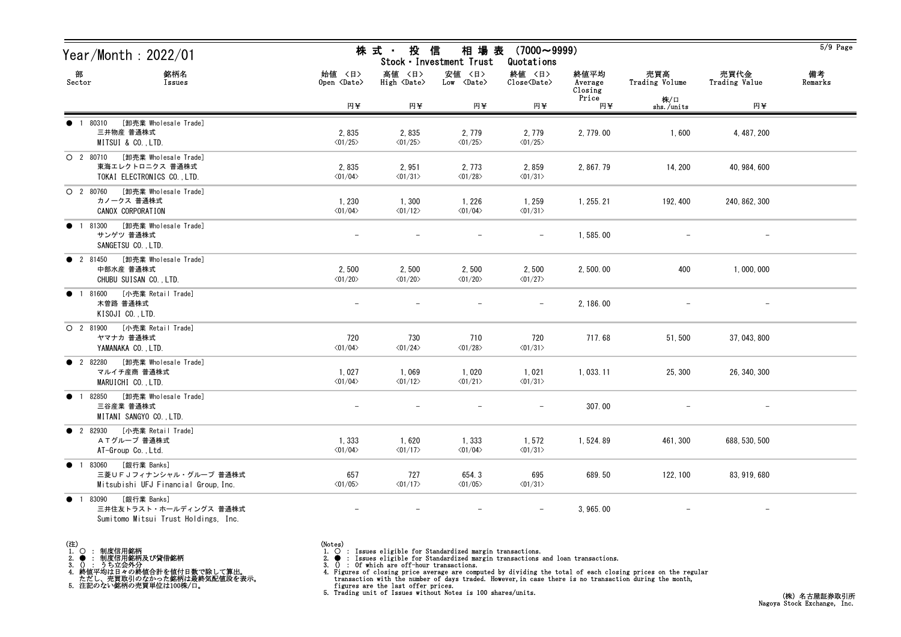| Year/Month : 2022/01                                                                                  |                                  | 株式 投信                            | 相 場 表<br>Stock · Investment Trust    | $(7000 \sim 9999)$<br>Quotations  |                            |                       |                          | $5/9$ Page    |
|-------------------------------------------------------------------------------------------------------|----------------------------------|----------------------------------|--------------------------------------|-----------------------------------|----------------------------|-----------------------|--------------------------|---------------|
| 部<br>銘柄名<br>Sector<br>Issues                                                                          | 始値 〈日〉<br>Open <date></date>     | 高値 〈日〉<br>High <date></date>     | 安値 〈日〉<br>$Low \langle Date \rangle$ | 終値 〈日〉<br>Close <date></date>     | 終値平均<br>Average<br>Closing | 売買高<br>Trading Volume | 売買代金<br>Trading Value    | 備考<br>Remarks |
|                                                                                                       | 円¥                               | 円平                               | 円半                                   | 円¥                                | Price<br>円半                | 株/口<br>shs./units     | 円至                       |               |
| [卸売業 Wholesale Trade]<br>1 80310<br>三井物産 普通株式<br>MITSUI & CO., LTD.                                   | 2,835<br>$\langle 01/25 \rangle$ | 2,835<br>$\langle 01/25 \rangle$ | 2, 779<br>$\langle 01/25 \rangle$    | 2, 779<br>$\langle 01/25 \rangle$ | 2, 779.00                  | 1,600                 | 4, 487, 200              |               |
| O 2 80710 [卸売業 Wholesale Trade]<br>東海エレクトロニクス 普通株式<br>TOKAI ELECTRONICS CO., LTD.                     | 2,835<br>$\langle 01/04 \rangle$ | 2,951<br>$\langle 01/31 \rangle$ | 2, 773<br>$\langle 01/28 \rangle$    | 2,859<br>$\langle 01/31 \rangle$  | 2, 867. 79                 | 14, 200               | 40, 984, 600             |               |
| O 2 80760 [卸売業 Wholesale Trade]<br>カノークス 普通株式<br>CANOX CORPORATION                                    | 1,230<br>$\langle 01/04 \rangle$ | 1,300<br>$\langle 01/12 \rangle$ | 1, 226<br>$\langle 01/04 \rangle$    | 1,259<br>$\langle 01/31 \rangle$  | 1, 255. 21                 | 192, 400              | 240, 862, 300            |               |
| 81300 [卸売業 Wholesale Trade]<br>$\bullet$<br>$\overline{1}$<br>サンゲツ 普通株式<br>SANGETSU CO., LTD.         |                                  |                                  |                                      |                                   | 1,585.00                   |                       |                          |               |
| ● 2 81450 [卸売業 Wholesale Trade]<br>中部水産 普通株式<br>CHUBU SUISAN CO., LTD.                                | 2,500<br>$\langle 01/20 \rangle$ | 2,500<br>$\langle 01/20 \rangle$ | 2,500<br>$\langle 01/20 \rangle$     | 2,500<br>$\langle 01/27 \rangle$  | 2, 500.00                  | 400                   | 1,000,000                |               |
| 81600 [小売業 Retail Trade]<br>$\bullet$<br>木曽路 普通株式<br>KISOJI CO., LTD.                                 |                                  |                                  |                                      |                                   | 2, 186.00                  |                       |                          |               |
| 〇 2 81900 [小売業 Retail Trade]<br>ヤマナカ 普通株式<br>YAMANAKA CO., LTD.                                       | 720<br>$\langle 01/04 \rangle$   | 730<br>$\langle 01/24 \rangle$   | 710<br>$\langle 01/28 \rangle$       | 720<br>$\langle 01/31 \rangle$    | 717.68                     | 51,500                | 37, 043, 800             |               |
| ● 2 82280 [卸売業 Wholesale Trade]<br>マルイチ産商 普通株式<br>MARUICHI CO., LTD.                                  | 1,027<br>$\langle 01/04 \rangle$ | 1,069<br>$\langle 01/12 \rangle$ | 1,020<br>$\langle 01/21 \rangle$     | 1,021<br>$\langle 01/31 \rangle$  | 1, 033. 11                 | 25, 300               | 26, 340, 300             |               |
| 1 82850 [卸売業 Wholesale Trade]<br>$\bullet$<br>三谷産業 普通株式<br>MITANI SANGYO CO., LTD.                    |                                  |                                  |                                      |                                   | 307.00                     |                       | $\overline{\phantom{m}}$ |               |
| 2 82930 [小売業 Retail Trade]<br>ATグループ 普通株式<br>AT-Group Co., Ltd.                                       | 1,333<br>$\langle 01/04 \rangle$ | 1,620<br>$\langle 01/17 \rangle$ | 1,333<br>$\langle 01/04 \rangle$     | 1,572<br>$\langle 01/31 \rangle$  | 1,524.89                   | 461, 300              | 688, 530, 500            |               |
| [銀行業 Banks]<br>● 1 83060<br>三菱UFJフィナンシャル・グループ 普通株式<br>Mitsubishi UFJ Financial Group, Inc.            | 657<br>$\langle 01/05 \rangle$   | 727<br>$\langle 01/17 \rangle$   | 654.3<br>$\langle 01/05 \rangle$     | 695<br>$\langle 01/31 \rangle$    | 689.50                     | 122, 100              | 83, 919, 680             |               |
| [銀行業 Banks]<br>83090<br>$\bullet$ 1<br>三井住友トラスト・ホールディングス 普通株式<br>Sumitomo Mitsui Trust Holdings, Inc. |                                  |                                  |                                      |                                   | 3, 965.00                  |                       |                          |               |

- (注)<br>1. ○<br>2. ●<br>3. ① 1. ○ : 制度信用銘柄 - 2. ● : 制度信用銘柄及び貸借銘柄
- 3. () : うち立会外分 4. 終値平均は日々の終値合計を値付日数で除して算出。 ただし、売買取引のなかった銘柄は最終気配値段を表示。 5. 注記のない銘柄の売買単位は100株/口。

(Notes)<br>1. ○ : Issues eligible for Standardized margin transactions.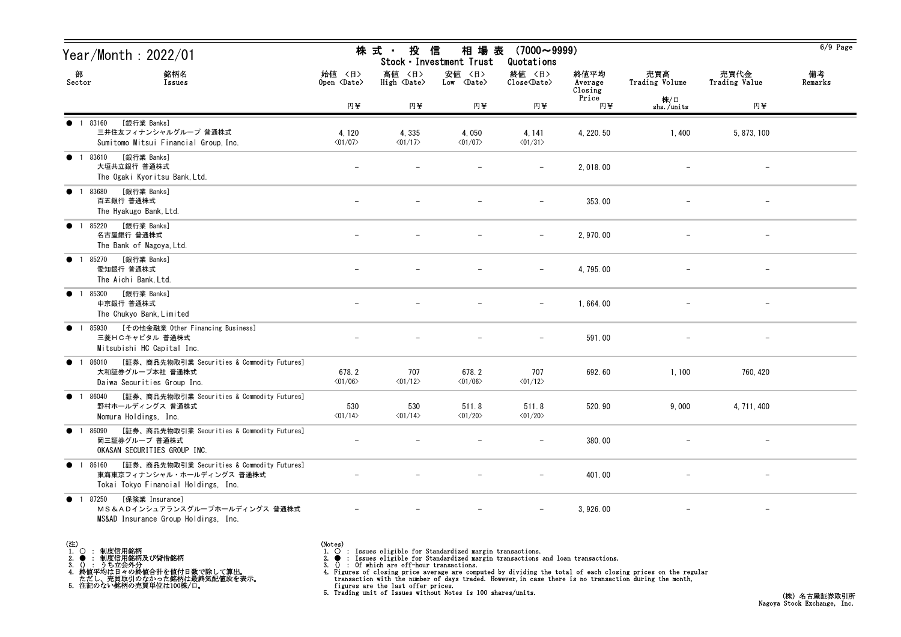| Year/Month : 2022/01                                                                                                          |                                   | 投<br>株 式 ・                       | 信<br>相 場 表<br>Stock · Investment Trust | $(7000 \sim 9999)$<br>Quotations  |                            |                       |                          | $6/9$ Page    |
|-------------------------------------------------------------------------------------------------------------------------------|-----------------------------------|----------------------------------|----------------------------------------|-----------------------------------|----------------------------|-----------------------|--------------------------|---------------|
| 部<br>銘柄名<br>Sector<br>Issues                                                                                                  | 始値 〈日〉<br>Open <date></date>      | 高値 〈日〉<br>High <date></date>     | 安値 〈日〉<br>Low <date></date>            | 終値 〈日〉<br>Close <date></date>     | 終値平均<br>Average<br>Closing | 売買高<br>Trading Volume | 売買代金<br>Trading Value    | 備考<br>Remarks |
|                                                                                                                               | 円半                                | 円半                               | 円半                                     | 円半                                | Price<br>円半                | 株/口<br>shs./units     | 円半                       |               |
| ● 1 83160<br>[銀行業 Banks]<br>三井住友フィナンシャルグループ 普通株式<br>Sumitomo Mitsui Financial Group, Inc.                                     | 4, 120<br>$\langle 01/07 \rangle$ | 4,335<br>$\langle 01/17 \rangle$ | 4,050<br>$\langle 01/07 \rangle$       | 4, 141<br>$\langle 01/31 \rangle$ | 4, 220.50                  | 1,400                 | 5, 873, 100              |               |
| [銀行業 Banks]<br>• 1 83610<br>大垣共立銀行 普通株式<br>The Ogaki Kyoritsu Bank, Ltd.                                                      |                                   |                                  |                                        |                                   | 2,018.00                   |                       |                          |               |
| [銀行業 Banks]<br>• 1 83680<br>百五銀行 普通株式<br>The Hyakugo Bank, Ltd.                                                               |                                   |                                  |                                        |                                   | 353.00                     |                       |                          |               |
| [銀行業 Banks]<br>● 1 85220<br>名古屋銀行 普通株式<br>The Bank of Nagoya, Ltd.                                                            | $\overline{\phantom{0}}$          |                                  |                                        | $\overline{\phantom{m}}$          | 2, 970.00                  |                       | $\overline{\phantom{m}}$ |               |
| [銀行業 Banks]<br>● 1 85270<br>愛知銀行 普通株式<br>The Aichi Bank, Ltd.                                                                 |                                   |                                  |                                        |                                   | 4, 795.00                  |                       | $\qquad \qquad -$        |               |
| [銀行業 Banks]<br>• 1 85300<br>中京銀行 普通株式<br>The Chukyo Bank, Limited                                                             |                                   |                                  |                                        | $\overline{\phantom{a}}$          | 1,664.00                   |                       | $\overline{\phantom{m}}$ |               |
| [その他金融業 Other Financing Business]<br>• 1 85930<br>三菱HCキャピタル 普通株式<br>Mitsubishi HC Capital Inc.                                |                                   |                                  |                                        |                                   | 591.00                     |                       |                          |               |
| [証券、商品先物取引業 Securities & Commodity Futures]<br>86010<br>$\bullet$ 1<br>大和証券グループ本社 普通株式<br>Daiwa Securities Group Inc.         | 678.2<br>$\langle 01/06 \rangle$  | 707<br>$\langle 01/12 \rangle$   | 678.2<br>$\langle 01/06 \rangle$       | 707<br>$\langle 01/12 \rangle$    | 692.60                     | 1,100                 | 760, 420                 |               |
| [証券、商品先物取引業 Securities & Commodity Futures]<br>• 1 86040<br>野村ホールディングス 普通株式<br>Nomura Holdings, Inc.                          | 530<br>$\langle 01/14 \rangle$    | 530<br>$\langle 01/14 \rangle$   | 511.8<br>$\langle 01/20 \rangle$       | 511.8<br>$\langle 01/20 \rangle$  | 520.90                     | 9,000                 | 4, 711, 400              |               |
| ● 1 86090 [証券、商品先物取引業 Securities & Commodity Futures]<br>岡三証券グループ 普通株式<br>OKASAN SECURITIES GROUP INC.                        |                                   |                                  |                                        |                                   | 380.00                     |                       |                          |               |
| [証券、商品先物取引業 Securities & Commodity Futures]<br>● 1 86160<br>東海東京フィナンシャル・ホールディングス 普通株式<br>Tokai Tokyo Financial Holdings, Inc. |                                   |                                  |                                        |                                   | 401.00                     |                       |                          |               |
| [保険業 Insurance]<br>● 1 87250<br>MS&ADインシュアランスグループホールディングス 普通株式<br>MS&AD Insurance Group Holdings, Inc.                        |                                   |                                  |                                        |                                   | 3, 926.00                  |                       |                          |               |

(Notes)<br>1. ○ : Issues eligible for Standardized margin transactions.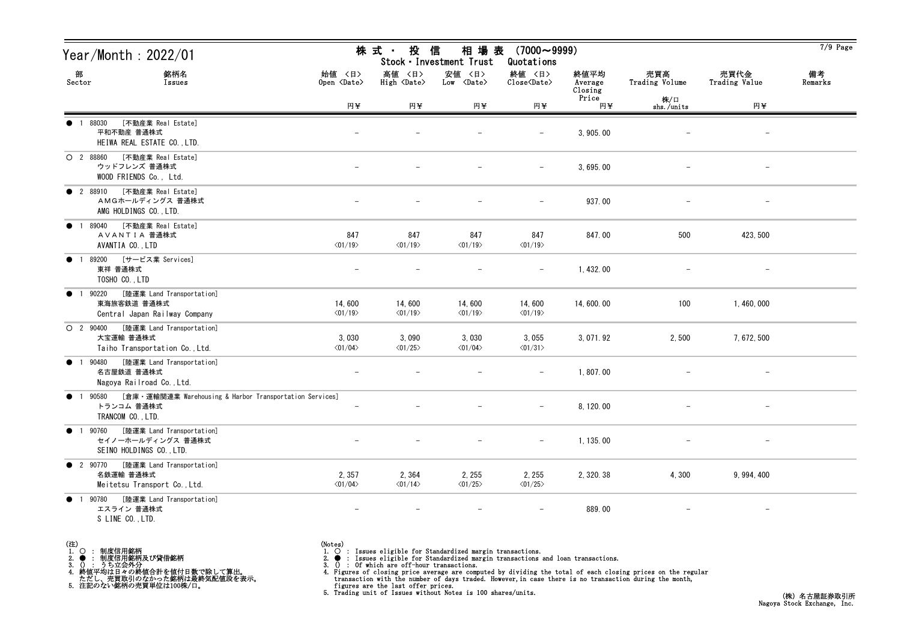| Year/Month : 2022/01                                                                                             |                                   | 株 式 -<br>投                        | 信<br>相 場 表<br>Stock · Investment Trust | $(7000 \sim 9999)$<br>Quotations  |                            |                       |                          | $7/9$ Page    |
|------------------------------------------------------------------------------------------------------------------|-----------------------------------|-----------------------------------|----------------------------------------|-----------------------------------|----------------------------|-----------------------|--------------------------|---------------|
| 部<br>銘柄名<br>Sector<br>Issues                                                                                     | 始値 〈日〉<br>Open <date></date>      | 高値 〈日〉<br>High <date></date>      | 安値 〈日〉<br>Low <date></date>            | 終値 〈日〉<br>Close <date></date>     | 終値平均<br>Average<br>Closing | 売買高<br>Trading Volume | 売買代金<br>Trading Value    | 備考<br>Remarks |
|                                                                                                                  | 円半                                | 円半                                | 円半                                     | 円半                                | Price<br>円半                | 株/口<br>shs./units     | 円半                       |               |
| [不動産業 Real Estate]<br>1 88030<br>平和不動産 普通株式<br>HEIWA REAL ESTATE CO., LTD.                                       |                                   |                                   |                                        |                                   | 3, 905.00                  |                       | $\qquad \qquad -$        |               |
| [不動産業 Real Estate]<br>$O$ 2 88860<br>ウッドフレンズ 普通株式<br>WOOD FRIENDS Co., Ltd.                                      |                                   |                                   |                                        | $\qquad \qquad -$                 | 3, 695.00                  |                       | $\overline{\phantom{m}}$ |               |
| <b>2</b> 88910<br>[不動産業 Real Estate]<br>AMGホールディングス 普通株式<br>AMG HOLDINGS CO., LTD.                               |                                   |                                   |                                        |                                   | 937.00                     |                       |                          |               |
| [不動産業 Real Estate]<br>89040<br>$\bullet$<br>$\overline{1}$<br>AVANTIA 普通株式<br>AVANTIA CO., LTD                   | 847<br>$\langle 01/19 \rangle$    | 847<br>$\langle 01/19 \rangle$    | 847<br>$\langle 01/19 \rangle$         | 847<br>$\langle 01/19 \rangle$    | 847.00                     | 500                   | 423, 500                 |               |
| [サービス業 Services]<br>89200<br>$\bullet$<br>東祥 普通株式<br>TOSHO CO., LTD                                              |                                   |                                   |                                        |                                   | 1, 432.00                  |                       |                          |               |
| [陸運業 Land Transportation]<br>90220<br>$\bullet$<br>東海旅客鉄道 普通株式<br>Central Japan Railway Company                  | 14,600<br>$\langle 01/19 \rangle$ | 14,600<br>$\langle 01/19 \rangle$ | 14,600<br>$\langle 01/19 \rangle$      | 14,600<br>$\langle 01/19 \rangle$ | 14, 600. 00                | 100                   | 1, 460, 000              |               |
| [陸運業 Land Transportation]<br>$O$ 2 90400<br>大宝運輸 普通株式<br>Taiho Transportation Co., Ltd.                          | 3,030<br>$\langle 01/04 \rangle$  | 3,090<br>$\langle 01/25 \rangle$  | 3,030<br>$\langle 01/04 \rangle$       | 3,055<br>$\langle 01/31 \rangle$  | 3, 071.92                  | 2,500                 | 7, 672, 500              |               |
| [陸運業 Land Transportation]<br>90480<br>$\bullet$<br>$\overline{1}$<br>名古屋鉄道 普通株式<br>Nagoya Railroad Co., Ltd.     | $\overline{\phantom{a}}$          |                                   |                                        | $\overline{\phantom{m}}$          | 1,807.00                   |                       | $\overline{\phantom{m}}$ |               |
| [倉庫・運輸関連業 Warehousing & Harbor Transportation Services]<br>90580<br>$\bullet$<br>トランコム 普通株式<br>TRANCOM CO., LTD. |                                   |                                   |                                        | $\overline{\phantom{m}}$          | 8, 120.00                  |                       | $\overline{\phantom{a}}$ |               |
| ● 1 90760 [陸運業 Land Transportation]<br>セイノーホールディングス 普通株式<br>SEINO HOLDINGS CO., LTD.                             |                                   |                                   | $\qquad \qquad -$                      | $-$                               | 1, 135.00                  |                       | $\overline{\phantom{m}}$ |               |
| [陸運業 Land Transportation]<br>• 2 90770<br>名鉄運輸 普通株式<br>Meitetsu Transport Co., Ltd.                              | 2,357<br>$\langle 01/04 \rangle$  | 2,364<br>$\langle 01/14 \rangle$  | 2, 255<br>$\langle 01/25 \rangle$      | 2, 255<br>$\langle 01/25 \rangle$ | 2, 320. 38                 | 4,300                 | 9, 994, 400              |               |
| [陸運業 Land Transportation]<br>90780<br>$\bullet$<br>$\overline{1}$<br>エスライン 普通株式<br>S LINE CO., LTD.              | $\overline{\phantom{a}}$          |                                   |                                        |                                   | 889.00                     |                       | $-$                      |               |

- (注)<br>1. ○<br>2. ●<br>3. ① 1. ○ : 制度信用銘柄
- 
- 2. : 制度信用銘柄及び貸借銘柄<br>3. () : うち立会外分<br>4. 終値平均は日々の終値合計を値付日数で除して算出。<br>ただし、売買取引のなかった銘柄は最終気配値段を表示。<br>5. 注記のない銘柄の売買単位は100株/口。

- (Notes)<br>1. : Issues eligible for Standardized margin transactions.
-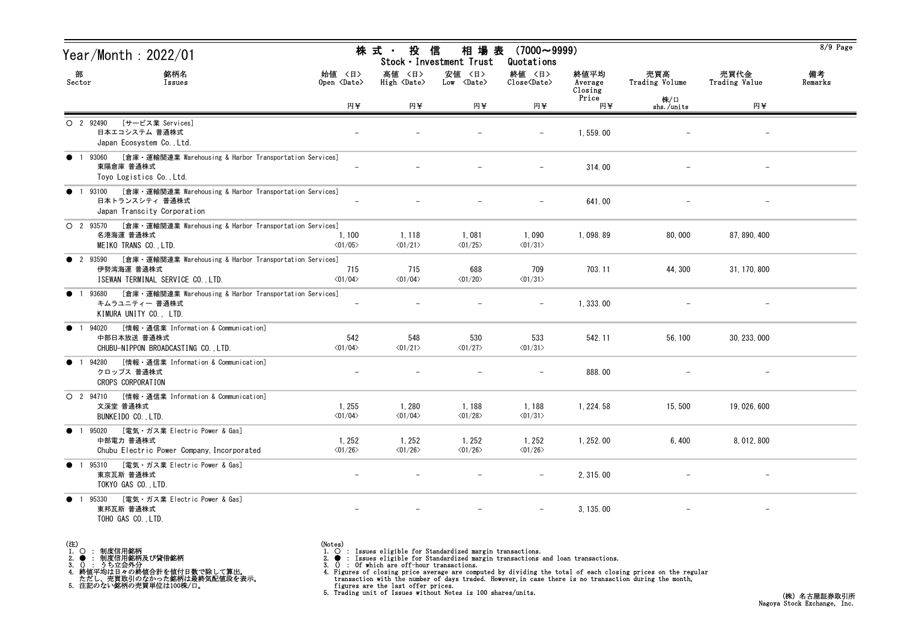|                | Year/Month : 2022/01                                                                                                |                                   | 株 式 ・ 投                           | 相 場 表<br>信<br>Stock · Investment Trust | $(7000 \sim 9999)$<br>Quotations  |                            |                       |                       | 8/9 Page      |
|----------------|---------------------------------------------------------------------------------------------------------------------|-----------------------------------|-----------------------------------|----------------------------------------|-----------------------------------|----------------------------|-----------------------|-----------------------|---------------|
| 部<br>Sector    | 銘柄名<br>Issues                                                                                                       | 始值 〈日〉<br>Open <date></date>      | 高値 〈日〉<br>High <date></date>      | 安値 〈日〉<br>$Low \langle Date \rangle$   | 終値 〈日〉<br>Close <date></date>     | 終値平均<br>Average<br>Closing | 売買高<br>Trading Volume | 売買代金<br>Trading Value | 備考<br>Remarks |
|                |                                                                                                                     | 円半                                | 円半                                | 円半                                     | 円半                                | Price<br>円至                | 株/口<br>shs./units     | 円¥                    |               |
| $O$ 2 92490    | [サービス業 Services]<br>日本エコシステム 普通株式<br>Japan Ecosystem Co., Ltd.                                                      |                                   |                                   |                                        |                                   | 1,559.00                   |                       |                       |               |
|                | 1 93060 [倉庫・運輸関連業 Warehousing & Harbor Transportation Services]<br>東陽倉庫 普通株式<br>Toyo Logistics Co., Ltd.            |                                   |                                   |                                        | $\qquad \qquad -$                 | 314.00                     |                       | $\qquad \qquad -$     |               |
|                | [倉庫・運輸関連業 Warehousing & Harbor Transportation Services]<br>1 93100<br>日本トランスシティ 普通株式<br>Japan Transcity Corporation |                                   |                                   |                                        |                                   | 641.00                     |                       |                       |               |
| $O$ 2 93570    | [倉庫・運輸関連業 Warehousing & Harbor Transportation Services]<br>名港海運 普通株式<br>MEIKO TRANS CO., LTD.                       | 1, 100<br>$\langle 01/05 \rangle$ | 1, 118<br>$\langle 01/21 \rangle$ | 1,081<br>$\langle 01/25 \rangle$       | 1,090<br>$\langle 01/31 \rangle$  | 1,098.89                   | 80,000                | 87, 890, 400          |               |
| <b>2</b> 93590 | [倉庫・運輸関連業 Warehousing & Harbor Transportation Services]<br>伊勢湾海運 普通株式<br>ISEWAN TERMINAL SERVICE CO., LTD.          | 715<br>$\langle 01/04 \rangle$    | 715<br>$\langle 01/04 \rangle$    | 688<br>$\langle 01/20 \rangle$         | 709<br>$\langle 01/31 \rangle$    | 703.11                     | 44, 300               | 31, 170, 800          |               |
| $\bullet$      | [倉庫・運輸関連業 Warehousing & Harbor Transportation Services]<br>1 93680<br>キムラユニティー 普通株式<br>KIMURA UNITY CO., LTD.       |                                   |                                   |                                        |                                   | 1, 333, 00                 |                       |                       |               |
| $\bullet$      | [情報 · 通信業 Information & Communication]<br>94020<br>中部日本放送 普通株式<br>CHUBU-NIPPON BROADCASTING CO., LTD.               | 542<br>$\langle 01/04 \rangle$    | 548<br>$\langle 01/21 \rangle$    | 530<br>$\langle 01/27 \rangle$         | 533<br>$\langle 01/31 \rangle$    | 542.11                     | 56, 100               | 30, 233, 000          |               |
| $\bullet$      | 94280<br>[情報・通信業 Information & Communication]<br>クロップス 普通株式<br>CROPS CORPORATION                                    |                                   |                                   |                                        |                                   | 888.00                     |                       |                       |               |
| $O$ 2 94710    | [情報・通信業 Information & Communication]<br>文溪堂 普通株式<br>BUNKEIDO CO., LTD.                                              | 1,255<br>$\langle 01/04 \rangle$  | 1,280<br>$\langle 01/04 \rangle$  | 1,188<br>$\langle 01/28 \rangle$       | 1,188<br>$\langle 01/31 \rangle$  | 1, 224. 58                 | 15,500                | 19, 026, 600          |               |
|                | ● 1 95020 [電気・ガス業 Electric Power & Gas]<br>中部電力 普通株式<br>Chubu Electric Power Company, Incorporated                  | 1, 252<br>$\langle 01/26 \rangle$ | 1, 252<br>$\langle 01/26 \rangle$ | 1, 252<br>$\langle 01/26 \rangle$      | 1, 252<br>$\langle 01/26 \rangle$ | 1, 252.00                  | 6,400                 | 8, 012, 800           |               |
| • 1 95310      | [電気・ガス業 Electric Power & Gas]<br>東京瓦斯 普通株式<br>TOKYO GAS CO., LTD.                                                   | $\overline{\phantom{m}}$          | $\overline{\phantom{m}}$          | $-$                                    | $-$                               | 2, 315.00                  |                       | $-$                   |               |
| $\bullet$      | [電気・ガス業 Electric Power & Gas]<br>1 95330<br>東邦瓦斯 普通株式<br>TOHO GAS CO., LTD.                                         | $\overline{\phantom{m}}$          | $\overline{\phantom{m}}$          | $-$                                    | $-$                               | 3, 135.00                  |                       | $-$                   |               |

- (注)<br>1. ○<br>2. ●<br>3. ① 1. ○ : 制度信用銘柄
- 
- 2. : 制度信用銘柄及び貸借銘柄<br>3. () : うち立会外分<br>4. 終値平均は日々の終値合計を値付日数で除して算出。<br>ただし、売買取引のなかった銘柄は最終気配値段を表示。<br>5. 注記のない銘柄の売買単位は100株/口。

(Notes)<br>1. ○ : Issues eligible for Standardized margin transactions.